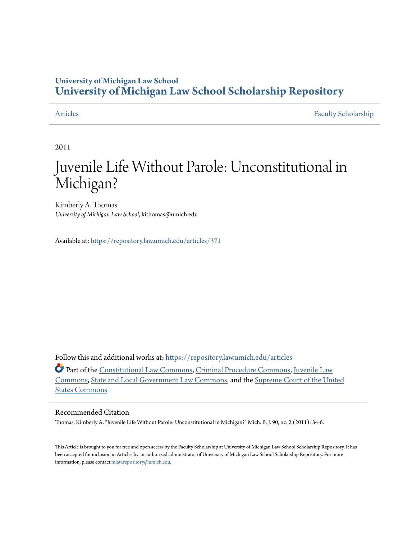### **University of Michigan Law School [University of Michigan Law School Scholarship Repository](https://repository.law.umich.edu?utm_source=repository.law.umich.edu%2Farticles%2F371&utm_medium=PDF&utm_campaign=PDFCoverPages)**

[Articles](https://repository.law.umich.edu/articles?utm_source=repository.law.umich.edu%2Farticles%2F371&utm_medium=PDF&utm_campaign=PDFCoverPages) [Faculty Scholarship](https://repository.law.umich.edu/faculty_scholarship?utm_source=repository.law.umich.edu%2Farticles%2F371&utm_medium=PDF&utm_campaign=PDFCoverPages)

2011

## Juvenile Life Without Parole: Unconstitutional in Michigan?

Kimberly A. Thomas *University of Michigan Law School*, kithomas@umich.edu

Available at: <https://repository.law.umich.edu/articles/371>

Follow this and additional works at: [https://repository.law.umich.edu/articles](https://repository.law.umich.edu/articles?utm_source=repository.law.umich.edu%2Farticles%2F371&utm_medium=PDF&utm_campaign=PDFCoverPages)

Part of the [Constitutional Law Commons,](http://network.bepress.com/hgg/discipline/589?utm_source=repository.law.umich.edu%2Farticles%2F371&utm_medium=PDF&utm_campaign=PDFCoverPages) [Criminal Procedure Commons](http://network.bepress.com/hgg/discipline/1073?utm_source=repository.law.umich.edu%2Farticles%2F371&utm_medium=PDF&utm_campaign=PDFCoverPages), [Juvenile Law](http://network.bepress.com/hgg/discipline/851?utm_source=repository.law.umich.edu%2Farticles%2F371&utm_medium=PDF&utm_campaign=PDFCoverPages) [Commons,](http://network.bepress.com/hgg/discipline/851?utm_source=repository.law.umich.edu%2Farticles%2F371&utm_medium=PDF&utm_campaign=PDFCoverPages) [State and Local Government Law Commons,](http://network.bepress.com/hgg/discipline/879?utm_source=repository.law.umich.edu%2Farticles%2F371&utm_medium=PDF&utm_campaign=PDFCoverPages) and the [Supreme Court of the United](http://network.bepress.com/hgg/discipline/1350?utm_source=repository.law.umich.edu%2Farticles%2F371&utm_medium=PDF&utm_campaign=PDFCoverPages) [States Commons](http://network.bepress.com/hgg/discipline/1350?utm_source=repository.law.umich.edu%2Farticles%2F371&utm_medium=PDF&utm_campaign=PDFCoverPages)

#### Recommended Citation

Thomas, Kimberly A. "Juvenile Life Without Parole: Unconstitutional in Michigan?" Mich. B. J. 90, no. 2 (2011): 34-6.

This Article is brought to you for free and open access by the Faculty Scholarship at University of Michigan Law School Scholarship Repository. It has been accepted for inclusion in Articles by an authorized administrator of University of Michigan Law School Scholarship Repository. For more information, please contact [mlaw.repository@umich.edu.](mailto:mlaw.repository@umich.edu)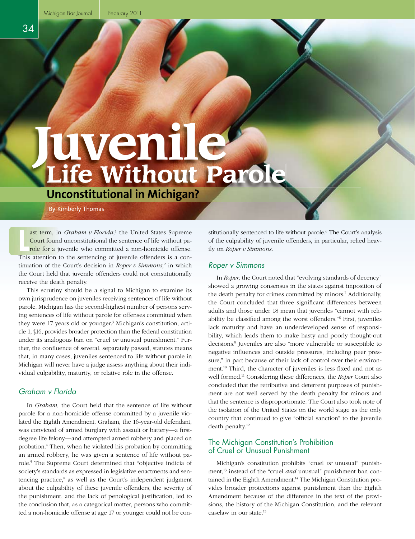# **Life Without Parole Juvenile**

**Unconstitutional in Michigan?**

By Kimberly Thomas

ast term, in *Graham v Florida*,<sup>1</sup> the United States Supreme<br>Court found unconstitutional the sentence of life without pa-<br>role for a juvenile who committed a non-homicide offense. ast term, in Graham v Florida,<sup>1</sup> the United States Supreme Court found unconstitutional the sentence of life without pa-This attention to the sentencing of juvenile offenders is a continuation of the Court's decision in *Roper v Simmons,*<sup>2</sup> in which the Court held that juvenile offenders could not constitutionally receive the death penalty.

This scrutiny should be a signal to Michigan to examine its own jurisprudence on juveniles receiving sentences of life without parole. Michigan has the second-highest number of persons serving sentences of life without parole for offenses committed when they were 17 years old or younger.<sup>3</sup> Michigan's constitution, article 1, §16, provides broader protection than the federal constitution under its analogous ban on "cruel *or* unusual punishment." Further, the confluence of several, separately passed, statutes means that, in many cases, juveniles sentenced to life without parole in Michigan will never have a judge assess anything about their individual culpability, maturity, or relative role in the offense.

#### *Graham v Florida*

In *Graham,* the Court held that the sentence of life without parole for a non-homicide offense committed by a juvenile violated the Eighth Amendment. Graham, the 16-year-old defendant, was convicted of armed burglary with assault or battery-a firstdegree life felony—and attempted armed robbery and placed on probation.4 Then, when he violated his probation by committing an armed robbery, he was given a sentence of life without parole.5 The Supreme Court determined that "objective indicia of society's standards as expressed in legislative enactments and sentencing practice," as well as the Court's independent judgment about the culpability of these juvenile offenders, the severity of the punishment, and the lack of penological justification, led to the conclusion that, as a categorical matter, persons who committed a non-homicide offense at age 17 or younger could not be con-

stitutionally sentenced to life without parole.<sup>6</sup> The Court's analysis of the culpability of juvenile offenders, in particular, relied heavily on *Roper v Simmons.*

#### *Roper v Simmons*

In *Roper,* the Court noted that "evolving standards of decency" showed a growing consensus in the states against imposition of the death penalty for crimes committed by minors.7 Additionally, the Court concluded that three significant differences between adults and those under 18 mean that juveniles "cannot with reliability be classified among the worst offenders."<sup>8</sup> First, juveniles lack maturity and have an underdeveloped sense of responsibility, which leads them to make hasty and poorly thought-out decisions.9 Juveniles are also "more vulnerable or susceptible to negative influences and outside pressures, including peer pressure," in part because of their lack of control over their environment.<sup>10</sup> Third, the character of juveniles is less fixed and not as well formed.11 Considering these differences, the *Roper* Court also concluded that the retributive and deterrent purposes of punishment are not well served by the death penalty for minors and that the sentence is disproportionate. The Court also took note of the isolation of the United States on the world stage as the only country that continued to give "official sanction" to the juvenile death penalty.<sup>12</sup>

#### The Michigan Constitution's Prohibition of Cruel or Unusual Punishment

Michigan's constitution prohibits "cruel *or* unusual" punishment,13 instead of the "cruel *and* unusual" punishment ban contained in the Eighth Amendment.<sup>14</sup> The Michigan Constitution provides broader protections against punishment than the Eighth Amendment because of the difference in the text of the provisions, the history of the Michigan Constitution, and the relevant caselaw in our state.15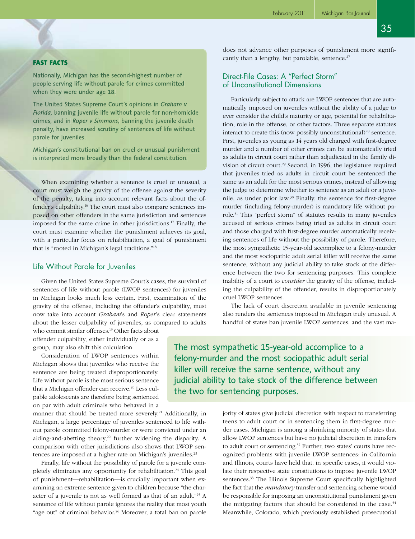#### FAST FACTS

Nationally, Michigan has the second-highest number of people serving life without parole for crimes committed when they were under age 18.

The United States Supreme Court's opinions in *Graham v Florida,* banning juvenile life without parole for non-homicide crimes, and in *Roper v Simmons,* banning the juvenile death penalty, have increased scrutiny of sentences of life without parole for juveniles.

Michigan's constitutional ban on cruel *or* unusual punishment is interpreted more broadly than the federal constitution.

When examining whether a sentence is cruel or unusual, a court must weigh the gravity of the offense against the severity of the penalty, taking into account relevant facts about the offender's culpability.<sup>16</sup> The court must also compare sentences imposed on other offenders in the same jurisdiction and sentences imposed for the same crime in other jurisdictions.17 Finally, the court must examine whether the punishment achieves its goal, with a particular focus on rehabilitation, a goal of punishment that is "rooted in Michigan's legal traditions."18

#### Life Without Parole for Juveniles

Given the United States Supreme Court's cases, the survival of sentences of life without parole (LWOP sentences) for juveniles in Michigan looks much less certain. First, examination of the gravity of the offense, including the offender's culpability, must now take into account *Graham*'s and *Roper*'s clear statements about the lesser culpability of juveniles, as compared to adults

who commit similar offenses.19 Other facts about offender culpability, either individually or as a group, may also shift this calculation.

Consideration of LWOP sentences within Michigan shows that juveniles who receive the sentence are being treated disproportionately. Life without parole is the most serious sentence that a Michigan offender can receive.<sup>20</sup> Less culpable adolescents are therefore being sentenced on par with adult criminals who behaved in a

manner that should be treated more severely.<sup>21</sup> Additionally, in Michigan, a large percentage of juveniles sentenced to life without parole committed felony-murder or were convicted under an aiding-and-abetting theory,<sup>22</sup> further widening the disparity. A comparison with other jurisdictions also shows that LWOP sentences are imposed at a higher rate on Michigan's juveniles.<sup>23</sup>

Finally, life without the possibility of parole for a juvenile completely eliminates any opportunity for rehabilitation.<sup>24</sup> This goal of punishment—rehabilitation—is crucially important when examining an extreme sentence given to children because "the character of a juvenile is not as well formed as that of an adult."25 A sentence of life without parole ignores the reality that most youth "age out" of criminal behavior.<sup>26</sup> Moreover, a total ban on parole does not advance other purposes of punishment more significantly than a lengthy, but parolable, sentence.<sup>27</sup>

#### Direct-File Cases: A "Perfect Storm" of Unconstitutional Dimensions

Particularly subject to attack are LWOP sentences that are automatically imposed on juveniles without the ability of a judge to ever consider the child's maturity or age, potential for rehabilitation, role in the offense, or other factors. Three separate statutes interact to create this (now possibly unconstitutional)<sup>28</sup> sentence. First, juveniles as young as 14 years old charged with first-degree murder and a number of other crimes can be automatically tried as adults in circuit court rather than adjudicated in the family division of circuit court.29 Second, in 1996, the legislature required that juveniles tried as adults in circuit court be sentenced the same as an adult for the most serious crimes, instead of allowing the judge to determine whether to sentence as an adult or a juvenile, as under prior law.<sup>30</sup> Finally, the sentence for first-degree murder (including felony-murder) is mandatory life without parole.31 This "perfect storm" of statutes results in many juveniles accused of serious crimes being tried as adults in circuit court and those charged with first-degree murder automatically receiving sentences of life without the possibility of parole. Therefore, the most sympathetic 15-year-old accomplice to a felony-murder and the most sociopathic adult serial killer will receive the same sentence, without any judicial ability to take stock of the difference between the two for sentencing purposes. This complete inability of a court to *consider* the gravity of the offense, including the culpability of the offender, results in disproportionately cruel LWOP sentences.

The lack of court discretion available in juvenile sentencing also renders the sentences imposed in Michigan truly unusual. A handful of states ban juvenile LWOP sentences, and the vast ma-

The most sympathetic 15-year-old accomplice to a felony-murder and the most sociopathic adult serial killer will receive the same sentence, without any judicial ability to take stock of the difference between the two for sentencing purposes.

> jority of states give judicial discretion with respect to transferring teens to adult court or in sentencing them in first-degree murder cases. Michigan is among a shrinking minority of states that allow LWOP sentences but have no judicial discretion in transfers to adult court or sentencing.<sup>32</sup> Further, two states' courts have recognized problems with juvenile LWOP sentences: in California and Illinois, courts have held that, in specific cases, it would violate their respective state constitutions to impose juvenile LWOP sentences.<sup>33</sup> The Illinois Supreme Court specifically highlighted the fact that the *mandatory* transfer and sentencing scheme would be responsible for imposing an unconstitutional punishment given the mitigating factors that should be considered in the case. $34$ Meanwhile, Colorado, which previously established prosecutorial